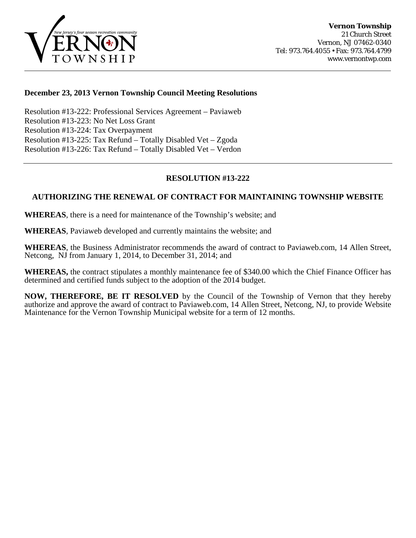

## **December 23, 2013 Vernon Township Council Meeting Resolutions**

Resolution #13-222: Professional Services Agreement – Paviaweb [Resolution #13-223: No Net Loss Grant](#page-1-0) [Resolution #13-224: Tax Overpayment](#page-1-0) [Resolution #13-225: Tax Refund – Totally Disabled Vet – Zgoda](#page-2-0)  [Resolution #13-226: Tax Refund – Totally Disabled Vet – Verdon](#page-2-0) 

# **RESOLUTION #13-222**

# **AUTHORIZING THE RENEWAL OF CONTRACT FOR MAINTAINING TOWNSHIP WEBSITE**

**WHEREAS**, there is a need for maintenance of the Township's website; and

**WHEREAS**, Paviaweb developed and currently maintains the website; and

**WHEREAS**, the Business Administrator recommends the award of contract to Paviaweb.com, 14 Allen Street, Netcong, NJ from January 1, 2014, to December 31, 2014; and

**WHEREAS,** the contract stipulates a monthly maintenance fee of \$340.00 which the Chief Finance Officer has determined and certified funds subject to the adoption of the 2014 budget.

**NOW, THEREFORE, BE IT RESOLVED** by the Council of the Township of Vernon that they hereby authorize and approve the award of contract to Paviaweb.com, 14 Allen Street, Netcong, NJ, to provide Website Maintenance for the Vernon Township Municipal website for a term of 12 months.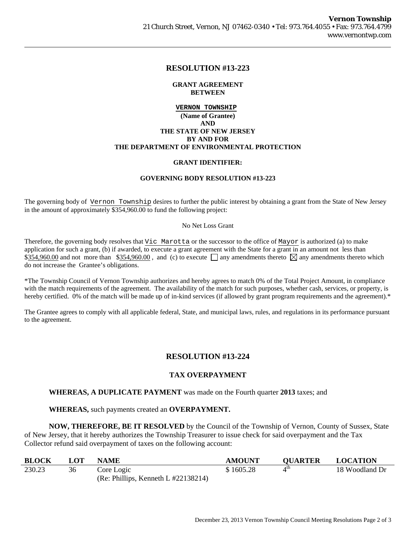## **RESOLUTION #13-223**

### **GRANT AGREEMENT BETWEEN**

## <span id="page-1-0"></span>**VERNON TOWNSHIP (Name of Grantee) AND THE STATE OF NEW JERSEY BY AND FOR THE DEPARTMENT OF ENVIRONMENTAL PROTECTION**

### **GRANT IDENTIFIER:**

### **GOVERNING BODY RESOLUTION #13-223**

The governing body of Vernon Township desires to further the public interest by obtaining a grant from the State of New Jersey in the amount of approximately \$354,960.00 to fund the following project:

#### No Net Loss Grant

Therefore, the governing body resolves that Vic Marotta or the successor to the office of Mayor is authorized (a) to make application for such a grant, (b) if awarded, to execute a grant agreement with the State for a grant in an amount not less than \$354,960.00 and not more than \$354,960.00, and (c) to execute  $\Box$  any amendments thereto  $\boxtimes$  any amendments thereto which do not increase the Grantee's obligations.

\*The Township Council of Vernon Township authorizes and hereby agrees to match 0% of the Total Project Amount, in compliance with the match requirements of the agreement. The availability of the match for such purposes, whether cash, services, or property, is hereby certified. 0% of the match will be made up of in-kind services (if allowed by grant program requirements and the agreement).\*

The Grantee agrees to comply with all applicable federal, State, and municipal laws, rules, and regulations in its performance pursuant to the agreement.

## **RESOLUTION #13-224**

## **TAX OVERPAYMENT**

## **WHEREAS, A DUPLICATE PAYMENT** was made on the Fourth quarter **2013** taxes; and

## **WHEREAS,** such payments created an **OVERPAYMENT.**

 **NOW, THEREFORE, BE IT RESOLVED** by the Council of the Township of Vernon, County of Sussex, State of New Jersey, that it hereby authorizes the Township Treasurer to issue check for said overpayment and the Tax Collector refund said overpayment of taxes on the following account:

| <b>BLOCK</b> | LOT | <b>NAME</b>                             | <b>AMOUNT</b> | <b>OUARTER</b>  | <b>LOCATION</b> |
|--------------|-----|-----------------------------------------|---------------|-----------------|-----------------|
| 230.23       | 36  | Core Logic                              | \$1605.28     | $4^{\text{th}}$ | 18 Woodland Dr  |
|              |     | (Re: Phillips, Kenneth L $\#22138214$ ) |               |                 |                 |